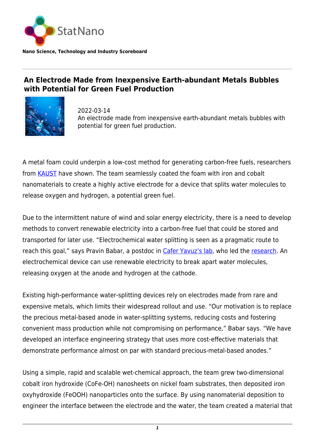

## **An Electrode Made from Inexpensive Earth-abundant Metals Bubbles with Potential for Green Fuel Production**



2022-03-14 An electrode made from inexpensive earth-abundant metals bubbles with potential for green fuel production.

A metal foam could underpin a low-cost method for generating carbon-free fuels, researchers from [KAUST](https://statnano.com/org/King-Abdullah-University-of-Science-%26-Technology) have shown. The team seamlessly coated the foam with iron and cobalt nanomaterials to create a highly active electrode for a device that splits water molecules to release oxygen and hydrogen, a potential green fuel.

Due to the intermittent nature of wind and solar energy electricity, there is a need to develop methods to convert renewable electricity into a carbon-free fuel that could be stored and transported for later use. "Electrochemical water splitting is seen as a pragmatic route to reach this goal," says Pravin Babar, a postdoc in [Cafer Yavuz's lab,](https://onelab.kaust.edu.sa/) who led the [research.](https://www.sciencedirect.com/science/article/pii/S2666386422000297?via%3Dihub) An electrochemical device can use renewable electricity to break apart water molecules, releasing oxygen at the anode and hydrogen at the cathode.

Existing high-performance water-splitting devices rely on electrodes made from rare and expensive metals, which limits their widespread rollout and use. "Our motivation is to replace the precious metal-based anode in water-splitting systems, reducing costs and fostering convenient mass production while not compromising on performance," Babar says. "We have developed an interface engineering strategy that uses more cost-effective materials that demonstrate performance almost on par with standard precious-metal-based anodes."

Using a simple, rapid and scalable wet-chemical approach, the team grew two-dimensional cobalt iron hydroxide (CoFe-OH) nanosheets on nickel foam substrates, then deposited iron oxyhydroxide (FeOOH) nanoparticles onto the surface. By using nanomaterial deposition to engineer the interface between the electrode and the water, the team created a material that